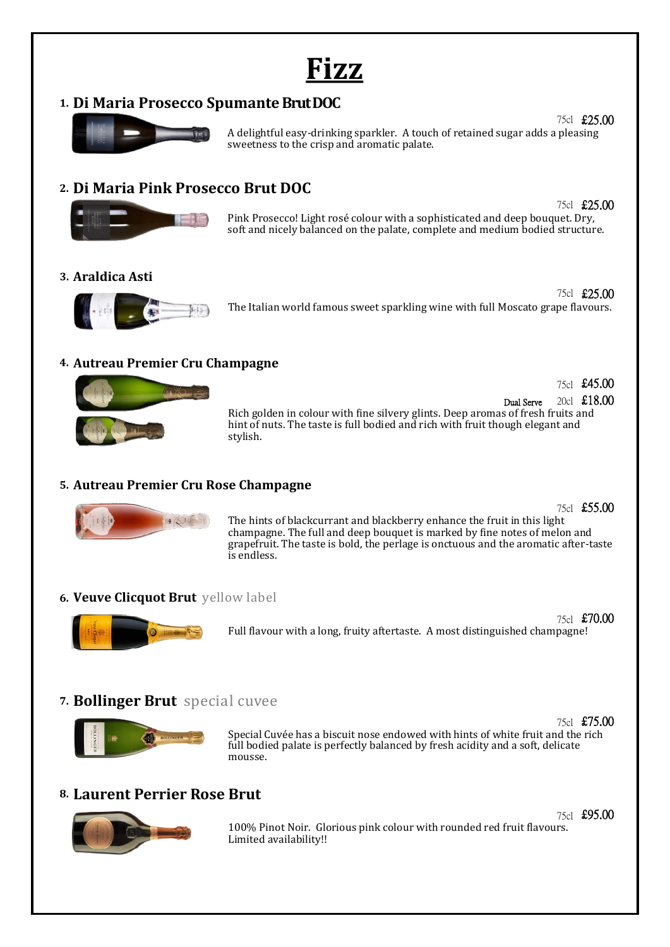**Fizz**

### **1. Di Maria Prosecco SpumanteBrut DOC**



75cl £25.00 A delightful easy-drinking sparkler. A touch of retained sugar adds a pleasing sweetness to the crisp and aromatic palate.

## **2. Di Maria Pink Prosecco Brut DOC**



75cl £25.00 Pink Prosecco! Light rosé colour with a sophisticated and deep bouquet. Dry, soft and nicely balanced on the palate, complete and medium bodied structure.

#### **3. Araldica Asti**



75cl £25.00 The Italian world famous sweet sparkling wine with full Moscato grape flavours.

#### **4. Autreau Premier Cru Champagne**



Dual Serve 20cl £18.00 Rich golden in colour with fine silvery glints. Deep aromas of fresh fruits and hint of nuts. The taste is full bodied and rich with fruit though elegant and stylish.

#### **5. Autreau Premier Cru Rose Champagne**



The hints of blackcurrant and blackberry enhance the fruit in this light champagne. The full and deep bouquet is marked by fine notes of melon and grapefruit. The taste is bold, the perlage is onctuous and the aromatic after-taste is endless.

#### **6. Veuve Clicquot Brut** yellow label



75cl £70.00 Full flavour with a long, fruity aftertaste. A most distinguished champagne!

# **7. Bollinger Brut** special cuvee



75cl £75.00 Special Cuvée has a biscuit nose endowed with hints of white fruit and the rich full bodied palate is perfectly balanced by fresh acidity and a soft, delicate mousse.

# **8. Laurent Perrier Rose Brut**



75cl £95.00 100% Pinot Noir. Glorious pink colour with rounded red fruit flavours. Limited availability!!

75cl £55.00

75cl £45.00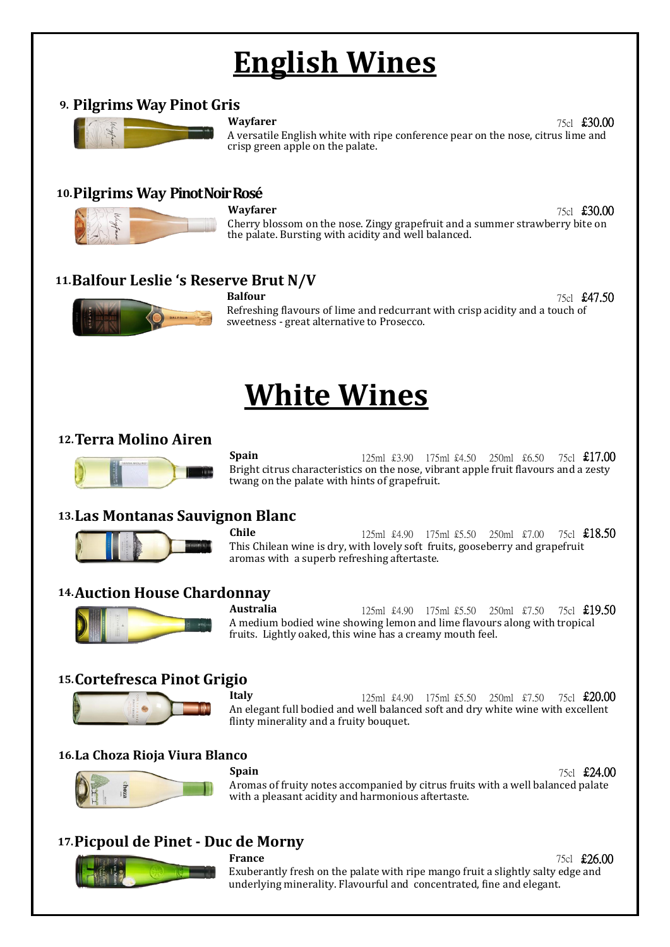# **English Wines**

#### **9. Pilgrims Way Pinot Gris**



**Wayfarer 75cl £30.00** A versatile English white with ripe conference pear on the nose, citrus lime and crisp green apple on the palate.

#### **10.Pilgrims Way Pinot Noir Rosé**



**Wayfarer 75cl £30.00** Cherry blossom on the nose. Zingy grapefruit and a summer strawberry bite on the palate. Bursting with acidity and well balanced.

### **11.Balfour Leslie 's Reserve Brut N/V**



**Balfour** 75cl **£47.50** Refreshing flavours of lime and redcurrant with crisp acidity and a touch of sweetness - great alternative to Prosecco.

# **White Wines**

### **12.Terra Molino Airen**



**Spain** 125ml £3.90 175ml £4.50 250ml £6.50 75cl **£17.00** Bright citrus characteristics on the nose, vibrant apple fruit flavours and a zesty twang on the palate with hints of grapefruit.

### **13.Las Montanas Sauvignon Blanc**



**Chile** 125ml £4.90 175ml £5.50 250ml £7.00 75cl **£18.50** This Chilean wine is dry, with lovely soft fruits, gooseberry and grapefruit aromas with a superb refreshing aftertaste.

### **14.Auction House Chardonnay**



**Australia 125ml** £4.90 175ml £5.50 250ml £7.50 75cl £19.50 A medium bodied wine showing lemon and lime flavours along with tropical fruits. Lightly oaked, this wine has a creamy mouth feel.

# **15.Cortefresca Pinot Grigio**



**Italy** 125ml £4.90 175ml £5.50 250ml £7.50 75cl **£20.00** An elegant full bodied and well balanced soft and dry white wine with excellent flinty minerality and a fruity bouquet.

#### **16.La Choza Rioja Viura Blanco**



**Spain** 75cl **£24.00** Aromas of fruity notes accompanied by citrus fruits with a well balanced palate with a pleasant acidity and harmonious aftertaste.

# **17.Picpoul de Pinet - Duc de Morny**



**France** 75cl **£26.00** Exuberantly fresh on the palate with ripe mango fruit a slightly salty edge and underlying minerality. Flavourful and concentrated, fine and elegant.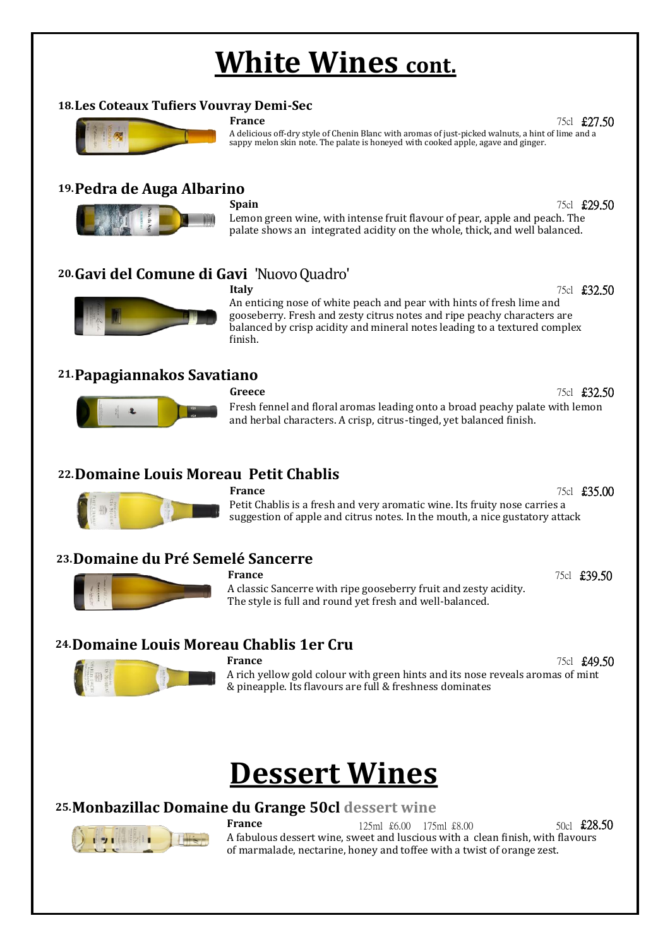# **White Wines cont.**

#### **18.Les Coteaux Tufiers Vouvray Demi-Sec**



**France** 75cl **£27.50** 

A delicious off-dry style of Chenin Blanc with aromas of just-picked walnuts, a hint of lime and a sappy melon skin note. The palate is honeyed with cooked apple, agave and ginger.

## **19.Pedra de Auga Albarino**



**Spain** 75cl **£29.50** 

Lemon green wine, with intense fruit flavour of pear, apple and peach. The palate shows an integrated acidity on the whole, thick, and well balanced.

# **20.Gavi del Comune di Gavi** 'Nuovo Quadro'



**Italy** 75cl **£32.50** An enticing nose of white peach and pear with hints of fresh lime and gooseberry. Fresh and zesty citrus notes and ripe peachy characters are balanced by crisp acidity and mineral notes leading to a textured complex finish.

### **21.Papagiannakos Savatiano**



**Greece** 75cl **£32.50** Fresh fennel and floral aromas leading onto a broad peachy palate with lemon and herbal characters. A crisp, citrus-tinged, yet balanced finish.

## **22.Domaine Louis Moreau Petit Chablis**



#### **France** 75cl **£35.00** Petit Chablis is a fresh and very aromatic wine. Its fruity nose carries a suggestion of apple and citrus notes. In the mouth, a nice gustatory attack

# **23.Domaine du Pré Semelé Sancerre**



#### **France** 75cl **£39.50**



A classic Sancerre with ripe gooseberry fruit and zesty acidity. The style is full and round yet fresh and well-balanced.

# **24.Domaine Louis Moreau Chablis 1er Cru**



**France** 75cl **£49.50** 

A rich yellow gold colour with green hints and its nose reveals aromas of mint & pineapple. Its flavours are full & freshness dominates

# **Dessert Wines**

# **25.Monbazillac Domaine du Grange 50cl dessert wine**



**France** 125ml £6.00 175ml £8.00 50cl **£28.50** A fabulous dessert wine, sweet and luscious with a clean finish, with flavours of marmalade, nectarine, honey and toffee with a twist of orange zest.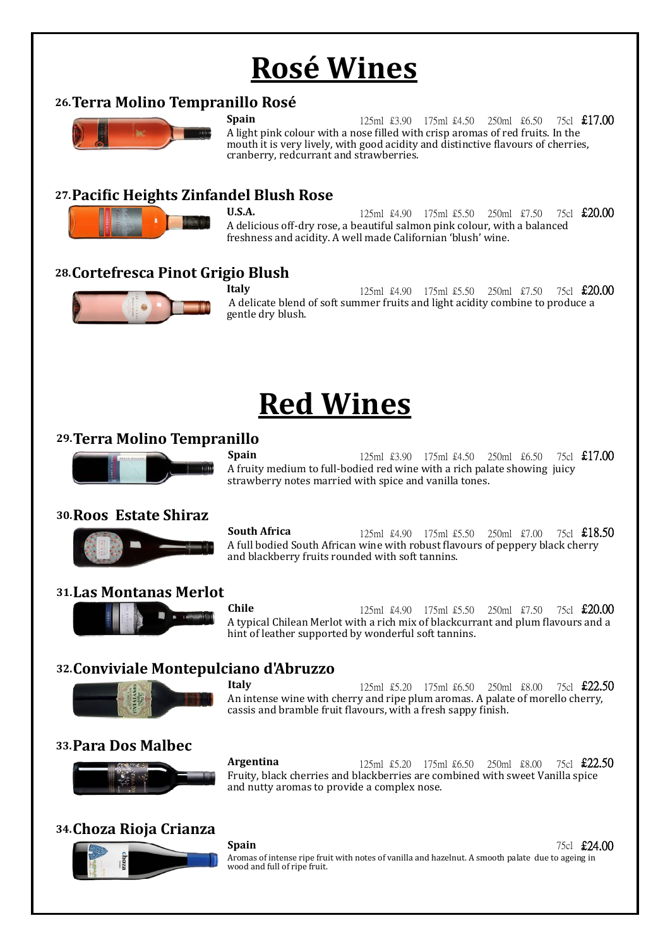# **Rosé Wines**

### **26.Terra Molino Tempranillo Rosé**



**Spain** 125ml £3.90 175ml £4.50 250ml £6.50 75cl **£17.00** A light pink colour with a nose filled with crisp aromas of red fruits. In the mouth it is very lively, with good acidity and distinctive flavours of cherries, cranberry, redcurrant and strawberries.

### **27.Pacific Heights Zinfandel Blush Rose**



**U.S.A.** 125ml £4.90 175ml £5.50 250ml £7.50 75cl **£20.00** A delicious off-dry rose, a beautiful salmon pink colour, with a balanced freshness and acidity. A well made Californian 'blush' wine.

## **28.Cortefresca Pinot Grigio Blush**



**Italy** 125ml £4.90 175ml £5.50 250ml £7.50 75cl **£20.00** A delicate blend of soft summer fruits and light acidity combine to produce a gentle dry blush.

# **Red Wines**

### **29.Terra Molino Tempranillo**



**Spain** 125ml £3.90 175ml £4.50 250ml £6.50 75cl **£17.00** A fruity medium to full-bodied red wine with a rich palate showing juicy strawberry notes married with spice and vanilla tones.

#### **30.Roos Estate Shiraz**

**South Africa** 125ml £4.90 175ml £5.50 250ml £7.00 75cl **£18.50** A full bodied South African wine with robust flavours of peppery black cherry and blackberry fruits rounded with soft tannins.

#### **31.Las Montanas Merlot**



**Chile** 125ml £4.90 175ml £5.50 250ml £7.50 75cl **£20.00** A typical Chilean Merlot with a rich mix of blackcurrant and plum flavours and a hint of leather supported by wonderful soft tannins.

# **32.Conviviale Montepulciano d'Abruzzo**



**Italy** 125ml £5.20 175ml £6.50 250ml £8.00 75cl **£22.50** An intense wine with cherry and ripe plum aromas. A palate of morello cherry, cassis and bramble fruit flavours, with a fresh sappy finish.

#### **33.Para Dos Malbec**



#### **34.Choza Rioja Crianza**



**Argentina** 125ml £5.20 175ml £6.50 250ml £8.00 75cl **£22.50** Fruity, black cherries and blackberries are combined with sweet Vanilla spice and nutty aromas to provide a complex nose.

**Spain** 75cl **£24.00** 

Aromas of intense ripe fruit with notes of vanilla and hazelnut. A smooth palate due to ageing in wood and full of ripe fruit.